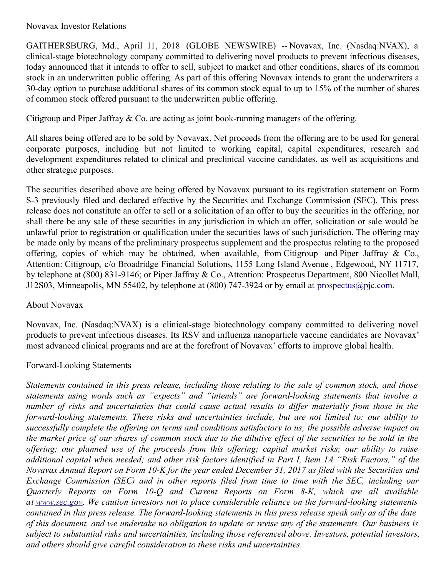## Novavax Investor Relations

GAITHERSBURG, Md., April 11, 2018 (GLOBE NEWSWIRE) -- Novavax, Inc. (Nasdaq:NVAX), a clinical-stage biotechnology company committed to delivering novel products to prevent infectious diseases, today announced that it intends to offer to sell, subject to market and other conditions, shares of its common stock in an underwritten public offering. As part of this offering Novavax intends to grant the underwriters a 30-day option to purchase additional shares of its common stock equal to up to 15% of the number of shares of common stock offered pursuant to the underwritten public offering.

Citigroup and Piper Jaffray & Co. are acting as joint book-running managers of the offering.

All shares being offered are to be sold by Novavax. Net proceeds from the offering are to be used for general corporate purposes, including but not limited to working capital, capital expenditures, research and development expenditures related to clinical and preclinical vaccine candidates, as well as acquisitions and other strategic purposes.

The securities described above are being offered by Novavax pursuant to its registration statement on Form S-3 previously filed and declared effective by the Securities and Exchange Commission (SEC). This press release does not constitute an offer to sell or a solicitation of an offer to buy the securities in the offering, nor shall there be any sale of these securities in any jurisdiction in which an offer, solicitation or sale would be unlawful prior to registration or qualification under the securities laws of such jurisdiction. The offering may be made only by means of the preliminary prospectus supplement and the prospectus relating to the proposed offering, copies of which may be obtained, when available, from Citigroup and Piper Jaffray & Co., Attention: Citigroup, c/o Broadridge Financial Solutions, 1155 Long Island Avenue , Edgewood, NY 11717, by telephone at (800) 831-9146; or Piper Jaffray & Co., Attention: Prospectus Department, 800 Nicollet Mall, J12S03, Minneapolis, MN 55402, by telephone at (800) 747-3924 or by email at [prospectus@pjc.com](mailto:prospectus@pjc.com).

## About Novavax

Novavax, Inc. (Nasdaq:NVAX) is a clinical-stage biotechnology company committed to delivering novel products to prevent infectious diseases. Its RSV and influenza nanoparticle vaccine candidates are Novavax' most advanced clinical programs and are at the forefront of Novavax' efforts to improve global health.

## Forward-Looking Statements

Statements contained in this press release, including those relating to the sale of common stock, and those *statements using words such as "expects" and "intends" are forward-looking statements that involve a* number of risks and uncertainties that could cause actual results to differ materially from those in the *forward-looking statements. These risks and uncertainties include, but are not limited to: our ability to* successfully complete the offering on terms and conditions satisfactory to us; the possible adverse impact on the market price of our shares of common stock due to the dilutive effect of the securities to be sold in the offering; our planned use of the proceeds from this offering; capital market risks; our ability to raise additional capital when needed; and other risk factors identified in Part I, Item 1A "Risk Factors," of the Novavax Annual Report on Form 10-K for the year ended December 31, 2017 as filed with the Securities and *Exchange Commission (SEC) and in other reports filed from time to time with the SEC, including our Quarterly Reports on Form 10-Q and Current Reports on Form 8-K, which are all available at [www.sec.gov](http://www.sec.gov/). We caution investors not to place considerable reliance on the forward-looking statements* contained in this press release. The forward-looking statements in this press release speak only as of the date of this document, and we undertake no obligation to update or revise any of the statements. Our business is *subject to substantial risks and uncertainties, including those referenced above. Investors, potential investors, and others should give careful consideration to these risks and uncertainties.*